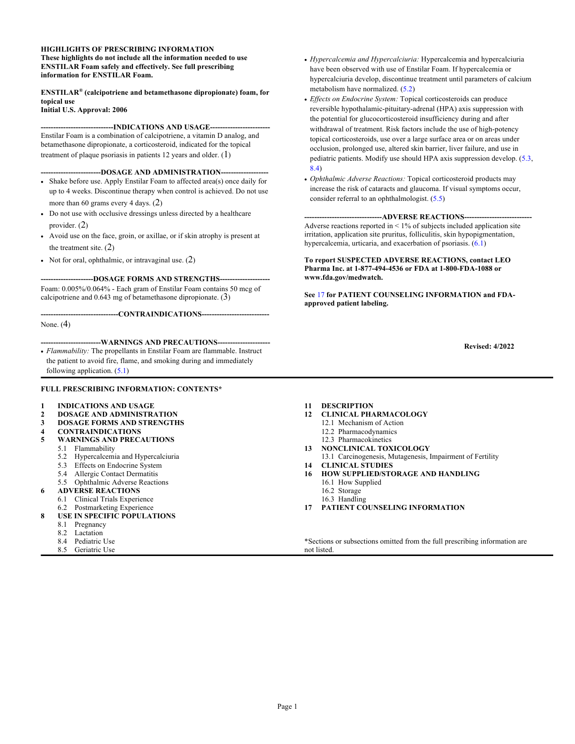#### **HIGHLIGHTS OF PRESCRIBING INFORMATION These highlights do not include all the information needed to use ENSTILAR Foam safely and effectively. See full prescribing information for ENSTILAR Foam.**

**ENSTILAR® (calcipotriene and betamethasone dipropionate) foam, for topical use Initial U.S. Approval: 2006**

---INDICATIONS AND USAGE--

Enstilar Foam is a combination of calcipotriene, a vitamin D analog, and betamethasone dipropionate, a corticosteroid, indicated for the topical treatment of plaque psoriasis in patients [1](#page-1-0)2 years and older.  $(1)$  $(1)$ 

**------------------------DOSAGE AND ADMINISTRATION-------------------**

- Shake before use. Apply Enstilar Foam to affected area(s) once daily for up to 4 weeks. Discontinue therapy when control is achieved. Do not use more than 60 grams every 4 days. [\(2](#page-1-0))
- Do not use with occlusive dressings unless directed by a healthcare provider. [\(2](#page-1-0))
- Avoid use on the face, groin, or axillae, or if skin atrophy is present at the treatment site. [\(2](#page-1-0))
- Not for oral, ophthalmic, or intravaginal use.  $(2)$  $(2)$

--DOSAGE FORMS AND STRENGTHS--Foam: 0.005%/0.064% - Each gram of Enstilar Foam contains 50 mcg of

calcipotriene and  $0.643$  mg of betamethasone dipropionate.  $(3)$  $(3)$ 

**-------------------------------CONTRAINDICATIONS---------------------------**

None.  $(4)$  $(4)$ 

--WARNINGS AND PRECAUTIONS--

• *Flammability:* The propellants in Enstilar Foam are flammable. Instruct the patient to avoid fire, flame, and smoking during and immediately following application. ([5.1\)](#page-1-0)

**FULL PRESCRIBING INFORMATION: CONTENTS\***

#### **[1 INDICATIONS AND USAGE](#page-1-0)**

- **[2 DOSAGE AND ADMINISTRATION](#page-1-0)**
- **[3 DOSAGE FORMS AND STRENGTHS](#page-1-0)**
- **[4 CONTRAINDICATIONS](#page-1-0)**
- **[5 WARNINGS AND PRECAUTIONS](#page-1-0)**
	- 5.1 [Flammability](#page-1-0)
	- 5.2 [Hypercalcemia and Hypercalciuria](#page-1-0)
	- 5.3 [Effects on Endocrine System](#page-1-0)
	- 5.4 Allergic [Contact Dermatitis](#page-2-0)
	- 5.5 [Ophthalmic Adverse Reactions](#page-2-0)

#### **[6 ADVERSE REACTIONS](#page-2-0)**

- 6.1 [Clinical Trials Experience](#page-2-0)
- 6.2 [Postmarketing Experience](#page-2-0)
- **USE IN SPECIFIC POPULATIONS** 
	- 8.1 [Pregnancy](#page-2-0)
	- [8.2 Lactation](#page-4-0)
	- 8.4 [Pediatric Use](#page-4-0)

#### 8.5 [Geriatric Use](#page-4-0)

- *Hypercalcemia and Hypercalciuria:* Hypercalcemia and hypercalciuria have been observed with use of Enstilar Foam. If hypercalcemia or hypercalciuria develop, discontinue treatment until parameters of calcium metabolism have normalized. [\(5.2](#page-1-0))
- *Effects on Endocrine System:* Topical corticosteroids can produce reversible hypothalamic-pituitary-adrenal (HPA) axis suppression with the potential for glucocorticosteroid insufficiency during and after withdrawal of treatment. Risk factors include the use of high-potency topical corticosteroids, use over a large surface area or on areas under occlusion, prolonged use, altered skin barrier, liver failure, and use in pediatric patients. Modify use should HPA axis suppression develop. ([5.3,](#page-1-0) [8.4](#page-4-0))
- *Ophthalmic Adverse Reactions:* Topical corticosteroid products may increase the risk of cataracts and glaucoma. If visual symptoms occur, consider referral to an ophthalmologist. [\(5.5](#page-2-0))

#### --ADVERSE REACTIONS--

Adverse reactions reported in  $\leq 1\%$  of subjects included application site irritation, application site pruritus, folliculitis, skin hypopigmentation, hypercalcemia, urticaria, and exacerbation of psoriasis. [\(6.1](#page-2-0))

**To report SUSPECTED ADVERSE REACTIONS, contact LEO Pharma Inc. at 1-877-494-4536 or FDA at 1-800-FDA-1088 or [www.fda.gov/medwatch](http://www.fda.gov/medwatch).**

**See** [17](#page-9-0) **for PATIENT COUNSELING INFORMATION and FDAapproved patient labeling.** 

**Revised: 4/2022**

- **11 [DESCRIPTION](#page-4-0)**
- **12 [CLINICAL PHARMACOLOGY](#page-5-0)**
	- 12.1 [Mechanism of Action](#page-5-0)
	- 12.2 [Pharmacodynamics](#page-5-0)
	- 12.3 [Pharmacokinetics](#page-6-0)
- **13 [NONCLINICAL TOXICOLOGY](#page-7-0)** 13.1 [Carcinogenesis, Mutagenesis, Impairment of Fertility](#page-7-0)
- **14 [CLINICAL STUDIES](#page-7-0)**
- **16 [HOW SUPPLIED/STORAGE AND HANDLING](#page-8-0)**
	- 16.1 [How Supplied](#page-8-0)
	- 16.2 [Storage](#page-8-0)
	- 16.3 [Handling](#page-9-0)
- **17 [PATIENT COUNSELING INFORMATION](#page-9-0)**

\*Sections or subsections omitted from the full prescribing information are not listed.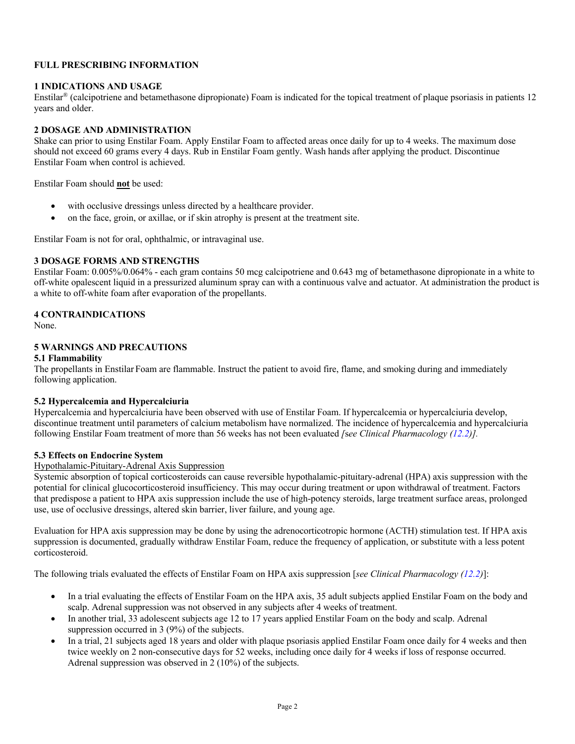# <span id="page-1-0"></span>**FULL PRESCRIBING INFORMATION**

### **1 INDICATIONS AND USAGE**

Enstilar® (calcipotriene and betamethasone dipropionate) Foam is indicated for the topical treatment of plaque psoriasis in patients 12 years and older.

## **2 DOSAGE AND ADMINISTRATION**

Shake can prior to using Enstilar Foam. Apply Enstilar Foam to affected areas once daily for up to 4 weeks. The maximum dose should not exceed 60 grams every 4 days. Rub in Enstilar Foam gently. Wash hands after applying the product. Discontinue Enstilar Foam when control is achieved.

Enstilar Foam should **not** be used:

- with occlusive dressings unless directed by a healthcare provider.
- on the face, groin, or axillae, or if skin atrophy is present at the treatment site.

Enstilar Foam is not for oral, ophthalmic, or intravaginal use.

## **3 DOSAGE FORMS AND STRENGTHS**

Enstilar Foam: 0.005%/0.064% - each gram contains 50 mcg calcipotriene and 0.643 mg of betamethasone dipropionate in a white to off-white opalescent liquid in a pressurized aluminum spray can with a continuous valve and actuator. At administration the product is a white to off-white foam after evaporation of the propellants.

## **4 CONTRAINDICATIONS**

None.

# **5 WARNINGS AND PRECAUTIONS**

### **5.1 Flammability**

The propellants in Enstilar Foam are flammable. Instruct the patient to avoid fire, flame, and smoking during and immediately following application.

### **5.2 Hypercalcemia and Hypercalciuria**

Hypercalcemia and hypercalciuria have been observed with use of Enstilar Foam. If hypercalcemia or hypercalciuria develop, discontinue treatment until parameters of calcium metabolism have normalized. The incidence of hypercalcemia and hypercalciuria following Enstilar Foam treatment of more than 56 weeks has not been evaluated *[*s*ee Clinical Pharmacology [\(12.2\)](#page-5-0)].*

### **5.3 Effects on Endocrine System**

### Hypothalamic-Pituitary-Adrenal Axis Suppression

Systemic absorption of topical corticosteroids can cause reversible hypothalamic-pituitary-adrenal (HPA) axis suppression with the potential for clinical glucocorticosteroid insufficiency. This may occur during treatment or upon withdrawal of treatment. Factors that predispose a patient to HPA axis suppression include the use of high-potency steroids, large treatment surface areas, prolonged use, use of occlusive dressings, altered skin barrier, liver failure, and young age.

Evaluation for HPA axis suppression may be done by using the adrenocorticotropic hormone (ACTH) stimulation test. If HPA axis suppression is documented, gradually withdraw Enstilar Foam, reduce the frequency of application, or substitute with a less potent corticosteroid.

The following trials evaluated the effects of Enstilar Foam on HPA axis suppression [*see Clinical Pharmacology ([12.2](#page-5-0))*]:

- In a trial evaluating the effects of Enstilar Foam on the HPA axis, 35 adult subjects applied Enstilar Foam on the body and scalp. Adrenal suppression was not observed in any subjects after 4 weeks of treatment.
- In another trial, 33 adolescent subjects age 12 to 17 years applied Enstilar Foam on the body and scalp. Adrenal suppression occurred in 3 (9%) of the subjects.
- In a trial, 21 subjects aged 18 years and older with plaque psoriasis applied Enstilar Foam once daily for 4 weeks and then twice weekly on 2 non-consecutive days for 52 weeks, including once daily for 4 weeks if loss of response occurred. Adrenal suppression was observed in 2 (10%) of the subjects.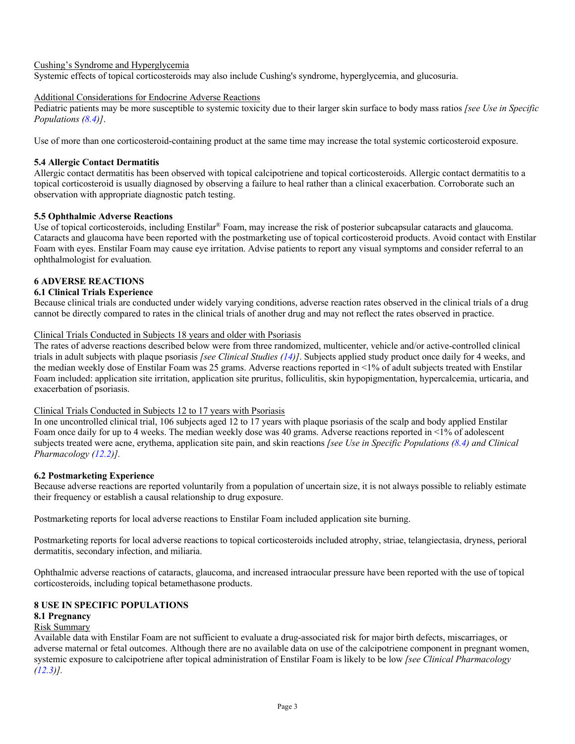### <span id="page-2-0"></span>Cushing's Syndrome and Hyperglycemia

Systemic effects of topical corticosteroids may also include Cushing's syndrome, hyperglycemia, and glucosuria.

#### Additional Considerations for Endocrine Adverse Reactions

Pediatric patients may be more susceptible to systemic toxicity due to their larger skin surface to body mass ratios *[see Use in Specific Populations [\(8.4\)](#page-4-0)]*.

Use of more than one corticosteroid-containing product at the same time may increase the total systemic corticosteroid exposure.

### **5.4 Allergic Contact Dermatitis**

Allergic contact dermatitis has been observed with topical calcipotriene and topical corticosteroids. Allergic contact dermatitis to a topical corticosteroid is usually diagnosed by observing a failure to heal rather than a clinical exacerbation. Corroborate such an observation with appropriate diagnostic patch testing.

### **5.5 Ophthalmic Adverse Reactions**

Use of topical corticosteroids, including Enstilar® Foam, may increase the risk of posterior subcapsular cataracts and glaucoma. Cataracts and glaucoma have been reported with the postmarketing use of topical corticosteroid products. Avoid contact with Enstilar Foam with eyes. Enstilar Foam may cause eye irritation. Advise patients to report any visual symptoms and consider referral to an ophthalmologist for evaluation*.*

### **6 ADVERSE REACTIONS**

### **6.1 Clinical Trials Experience**

Because clinical trials are conducted under widely varying conditions, adverse reaction rates observed in the clinical trials of a drug cannot be directly compared to rates in the clinical trials of another drug and may not reflect the rates observed in practice.

### Clinical Trials Conducted in Subjects 18 years and older with Psoriasis

The rates of adverse reactions described below were from three randomized, multicenter, vehicle and/or active-controlled clinical trials in adult subjects with plaque psoriasis *[see Clinical Studies ([14\)](#page-7-0)]*. Subjects applied study product once daily for 4 weeks, and the median weekly dose of Enstilar Foam was 25 grams. Adverse reactions reported in <1% of adult subjects treated with Enstilar Foam included: application site irritation, application site pruritus, folliculitis, skin hypopigmentation, hypercalcemia, urticaria, and exacerbation of psoriasis.

#### Clinical Trials Conducted in Subjects 12 to 17 years with Psoriasis

In one uncontrolled clinical trial, 106 subjects aged 12 to 17 years with plaque psoriasis of the scalp and body applied Enstilar Foam once daily for up to 4 weeks. The median weekly dose was 40 grams. Adverse reactions reported in <1% of adolescent subjects treated were acne, erythema, application site pain, and skin reactions *[see Use in Specific Populations [\(8.4\)](#page-4-0) and Clinical Pharmacology ([12.2](#page-5-0))].*

### **6.2 Postmarketing Experience**

Because adverse reactions are reported voluntarily from a population of uncertain size, it is not always possible to reliably estimate their frequency or establish a causal relationship to drug exposure.

Postmarketing reports for local adverse reactions to Enstilar Foam included application site burning.

Postmarketing reports for local adverse reactions to topical corticosteroids included atrophy, striae, telangiectasia, dryness, perioral dermatitis, secondary infection, and miliaria.

Ophthalmic adverse reactions of cataracts, glaucoma, and increased intraocular pressure have been reported with the use of topical corticosteroids, including topical betamethasone products.

### **8 USE IN SPECIFIC POPULATIONS**

#### **8.1 Pregnancy**

#### Risk Summary

Available data with Enstilar Foam are not sufficient to evaluate a drug-associated risk for major birth defects, miscarriages, or adverse maternal or fetal outcomes. Although there are no available data on use of the calcipotriene component in pregnant women, systemic exposure to calcipotriene after topical administration of Enstilar Foam is likely to be low *[see Clinical Pharmacology ([12.3](#page-6-0))].*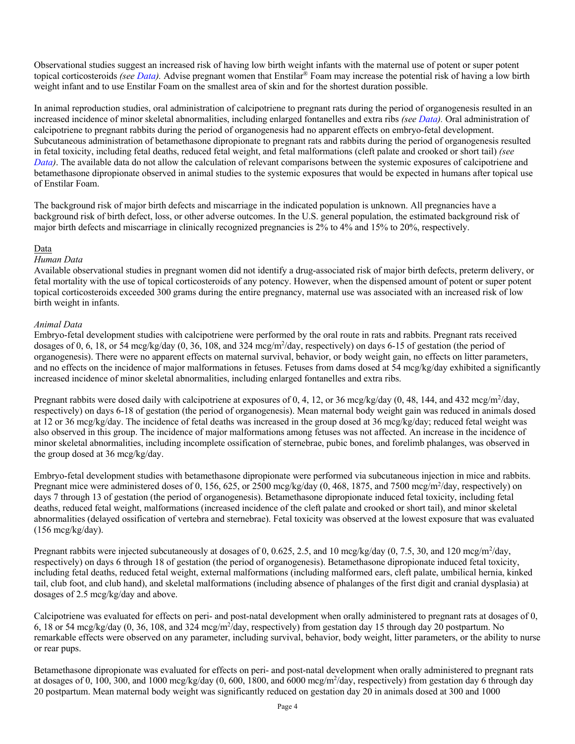Observational studies suggest an increased risk of having low birth weight infants with the maternal use of potent or super potent topical corticosteroids *(see Data).* Advise pregnant women that Enstilar® Foam may increase the potential risk of having a low birth weight infant and to use Enstilar Foam on the smallest area of skin and for the shortest duration possible.

In animal reproduction studies, oral administration of calcipotriene to pregnant rats during the period of organogenesis resulted in an increased incidence of minor skeletal abnormalities, including enlarged fontanelles and extra ribs *(see Data).* Oral administration of calcipotriene to pregnant rabbits during the period of organogenesis had no apparent effects on embryo-fetal development. Subcutaneous administration of betamethasone dipropionate to pregnant rats and rabbits during the period of organogenesis resulted in fetal toxicity, including fetal deaths, reduced fetal weight, and fetal malformations (cleft palate and crooked or short tail) *(see Data*). The available data do not allow the calculation of relevant comparisons between the systemic exposures of calcipotriene and betamethasone dipropionate observed in animal studies to the systemic exposures that would be expected in humans after topical use of Enstilar Foam.

The background risk of major birth defects and miscarriage in the indicated population is unknown. All pregnancies have a background risk of birth defect, loss, or other adverse outcomes. In the U.S. general population, the estimated background risk of major birth defects and miscarriage in clinically recognized pregnancies is 2% to 4% and 15% to 20%, respectively.

### Data

### *Human Data*

Available observational studies in pregnant women did not identify a drug-associated risk of major birth defects, preterm delivery, or fetal mortality with the use of topical corticosteroids of any potency. However, when the dispensed amount of potent or super potent topical corticosteroids exceeded 300 grams during the entire pregnancy, maternal use was associated with an increased risk of low birth weight in infants.

### *Animal Data*

Embryo-fetal development studies with calcipotriene were performed by the oral route in rats and rabbits. Pregnant rats received dosages of 0, 6, 18, or 54 mcg/kg/day (0, 36, 108, and 324 mcg/m<sup>2</sup>/day, respectively) on days 6-15 of gestation (the period of organogenesis). There were no apparent effects on maternal survival, behavior, or body weight gain, no effects on litter parameters, and no effects on the incidence of major malformations in fetuses. Fetuses from dams dosed at 54 mcg/kg/day exhibited a significantly increased incidence of minor skeletal abnormalities, including enlarged fontanelles and extra ribs.

Pregnant rabbits were dosed daily with calcipotriene at exposures of 0, 4, 12, or 36 mcg/kg/day (0, 48, 144, and 432 mcg/m<sup>2</sup>/day, respectively) on days 6-18 of gestation (the period of organogenesis). Mean maternal body weight gain was reduced in animals dosed at 12 or 36 mcg/kg/day. The incidence of fetal deaths was increased in the group dosed at 36 mcg/kg/day; reduced fetal weight was also observed in this group. The incidence of major malformations among fetuses was not affected. An increase in the incidence of minor skeletal abnormalities, including incomplete ossification of sternebrae, pubic bones, and forelimb phalanges, was observed in the group dosed at 36 mcg/kg/day.

Embryo-fetal development studies with betamethasone dipropionate were performed via subcutaneous injection in mice and rabbits. Pregnant mice were administered doses of 0, 156, 625, or 2500 mcg/kg/day (0, 468, 1875, and 7500 mcg/m<sup>2</sup>/day, respectively) on days 7 through 13 of gestation (the period of organogenesis). Betamethasone dipropionate induced fetal toxicity, including fetal deaths, reduced fetal weight, malformations (increased incidence of the cleft palate and crooked or short tail), and minor skeletal abnormalities (delayed ossification of vertebra and sternebrae). Fetal toxicity was observed at the lowest exposure that was evaluated (156 mcg/kg/day).

Pregnant rabbits were injected subcutaneously at dosages of 0, 0.625, 2.5, and 10 mcg/kg/day (0, 7.5, 30, and 120 mcg/m<sup>2</sup>/day, respectively) on days 6 through 18 of gestation (the period of organogenesis). Betamethasone dipropionate induced fetal toxicity, including fetal deaths, reduced fetal weight, external malformations (including malformed ears, cleft palate, umbilical hernia, kinked tail, club foot, and club hand), and skeletal malformations (including absence of phalanges of the first digit and cranial dysplasia) at dosages of 2.5 mcg/kg/day and above.

Calcipotriene was evaluated for effects on peri- and post-natal development when orally administered to pregnant rats at dosages of 0, 6, 18 or 54 mcg/kg/day (0, 36, 108, and 324 mcg/m2 /day, respectively) from gestation day 15 through day 20 postpartum. No remarkable effects were observed on any parameter, including survival, behavior, body weight, litter parameters, or the ability to nurse or rear pups.

Betamethasone dipropionate was evaluated for effects on peri- and post-natal development when orally administered to pregnant rats at dosages of 0, 100, 300, and 1000 mcg/kg/day (0, 600, 1800, and 6000 mcg/m<sup>2</sup>/day, respectively) from gestation day 6 through day 20 postpartum. Mean maternal body weight was significantly reduced on gestation day 20 in animals dosed at 300 and 1000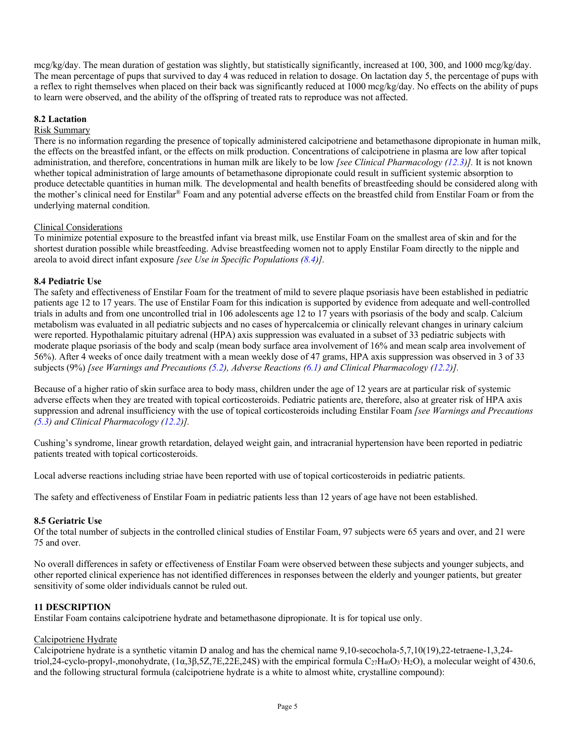<span id="page-4-0"></span>mcg/kg/day. The mean duration of gestation was slightly, but statistically significantly, increased at 100, 300, and 1000 mcg/kg/day. The mean percentage of pups that survived to day 4 was reduced in relation to dosage. On lactation day 5, the percentage of pups with a reflex to right themselves when placed on their back was significantly reduced at 1000 mcg/kg/day. No effects on the ability of pups to learn were observed, and the ability of the offspring of treated rats to reproduce was not affected.

### **8.2 Lactation**

### Risk Summary

There is no information regarding the presence of topically administered calcipotriene and betamethasone dipropionate in human milk, the effects on the breastfed infant, or the effects on milk production. Concentrations of calcipotriene in plasma are low after topical administration, and therefore, concentrations in human milk are likely to be low *[see Clinical Pharmacology [\(12.3\)](#page-6-0)].* It is not known whether topical administration of large amounts of betamethasone dipropionate could result in sufficient systemic absorption to produce detectable quantities in human milk*.* The developmental and health benefits of breastfeeding should be considered along with the mother's clinical need for Enstilar® Foam and any potential adverse effects on the breastfed child from Enstilar Foam or from the underlying maternal condition.

## Clinical Considerations

To minimize potential exposure to the breastfed infant via breast milk, use Enstilar Foam on the smallest area of skin and for the shortest duration possible while breastfeeding. Advise breastfeeding women not to apply Enstilar Foam directly to the nipple and areola to avoid direct infant exposure *[see Use in Specific Populations (8.4)].*

### **8.4 Pediatric Use**

The safety and effectiveness of Enstilar Foam for the treatment of mild to severe plaque psoriasis have been established in pediatric patients age 12 to 17 years. The use of Enstilar Foam for this indication is supported by evidence from adequate and well-controlled trials in adults and from one uncontrolled trial in 106 adolescents age 12 to 17 years with psoriasis of the body and scalp. Calcium metabolism was evaluated in all pediatric subjects and no cases of hypercalcemia or clinically relevant changes in urinary calcium were reported. Hypothalamic pituitary adrenal (HPA) axis suppression was evaluated in a subset of 33 pediatric subjects with moderate plaque psoriasis of the body and scalp (mean body surface area involvement of 16% and mean scalp area involvement of 56%). After 4 weeks of once daily treatment with a mean weekly dose of 47 grams, HPA axis suppression was observed in 3 of 33 subjects (9%) *[see Warnings and Precautions ([5.2](#page-1-0)), Adverse Reactions [\(6.1\)](#page-2-0) and Clinical Pharmacology ([12.2](#page-5-0))].*

Because of a higher ratio of skin surface area to body mass, children under the age of 12 years are at particular risk of systemic adverse effects when they are treated with topical corticosteroids. Pediatric patients are, therefore, also at greater risk of HPA axis suppression and adrenal insufficiency with the use of topical corticosteroids including Enstilar Foam *[see Warnings and Precautions ([5.3](#page-1-0)) and Clinical Pharmacology ([12.2](#page-5-0))].*

Cushing's syndrome, linear growth retardation, delayed weight gain, and intracranial hypertension have been reported in pediatric patients treated with topical corticosteroids.

Local adverse reactions including striae have been reported with use of topical corticosteroids in pediatric patients.

The safety and effectiveness of Enstilar Foam in pediatric patients less than 12 years of age have not been established.

#### **8.5 Geriatric Use**

Of the total number of subjects in the controlled clinical studies of Enstilar Foam, 97 subjects were 65 years and over, and 21 were 75 and over.

No overall differences in safety or effectiveness of Enstilar Foam were observed between these subjects and younger subjects, and other reported clinical experience has not identified differences in responses between the elderly and younger patients, but greater sensitivity of some older individuals cannot be ruled out.

### **11 DESCRIPTION**

Enstilar Foam contains calcipotriene hydrate and betamethasone dipropionate. It is for topical use only.

### Calcipotriene Hydrate

Calcipotriene hydrate is a synthetic vitamin D analog and has the chemical name 9,10-secochola-5,7,10(19),22-tetraene-1,3,24 triol,24-cyclo-propyl-,monohydrate, (1α,3β,5Z,7E,22E,24S) with the empirical formula C27H40O3·H2O), a molecular weight of 430.6, and the following structural formula (calcipotriene hydrate is a white to almost white, crystalline compound):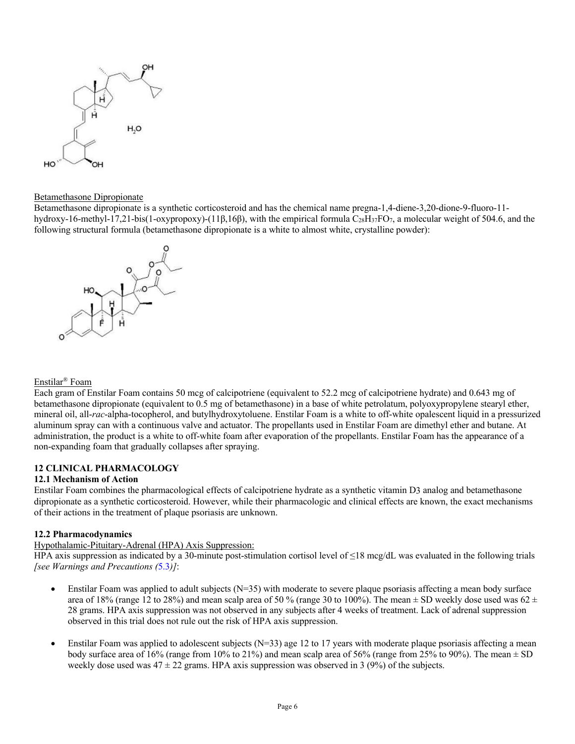<span id="page-5-0"></span>

#### Betamethasone Dipropionate

Betamethasone dipropionate is a synthetic corticosteroid and has the chemical name pregna-1,4-diene-3,20-dione-9-fluoro-11 hydroxy-16-methyl-17,21-bis(1-oxypropoxy)-(11β,16β), with the empirical formula C28H37FO7, a molecular weight of 504.6, and the following structural formula (betamethasone dipropionate is a white to almost white, crystalline powder):



### Enstilar® Foam

Each gram of Enstilar Foam contains 50 mcg of calcipotriene (equivalent to 52.2 mcg of calcipotriene hydrate) and 0.643 mg of betamethasone dipropionate (equivalent to 0.5 mg of betamethasone) in a base of white petrolatum, polyoxypropylene stearyl ether, mineral oil, all-*rac*-alpha-tocopherol, and butylhydroxytoluene. Enstilar Foam is a white to off-white opalescent liquid in a pressurized aluminum spray can with a continuous valve and actuator. The propellants used in Enstilar Foam are dimethyl ether and butane. At administration, the product is a white to off-white foam after evaporation of the propellants. Enstilar Foam has the appearance of a non-expanding foam that gradually collapses after spraying.

### **12 CLINICAL PHARMACOLOGY**

### **12.1 Mechanism of Action**

Enstilar Foam combines the pharmacological effects of calcipotriene hydrate as a synthetic vitamin D3 analog and betamethasone dipropionate as a synthetic corticosteroid. However, while their pharmacologic and clinical effects are known, the exact mechanisms of their actions in the treatment of plaque psoriasis are unknown.

#### **12.2 Pharmacodynamics**

#### Hypothalamic-Pituitary-Adrenal (HPA) Axis Suppression:

HPA axis suppression as indicated by a 30-minute post-stimulation cortisol level of ≤18 mcg/dL was evaluated in the following trials *[see Warnings and Precautions (*[5.3](#page-1-0)*)]*:

- Enstilar Foam was applied to adult subjects (N=35) with moderate to severe plaque psoriasis affecting a mean body surface area of 18% (range 12 to 28%) and mean scalp area of 50 % (range 30 to 100%). The mean  $\pm$  SD weekly dose used was 62  $\pm$ 28 grams. HPA axis suppression was not observed in any subjects after 4 weeks of treatment. Lack of adrenal suppression observed in this trial does not rule out the risk of HPA axis suppression.
- Enstilar Foam was applied to adolescent subjects  $(N=33)$  age 12 to 17 years with moderate plaque psoriasis affecting a mean body surface area of 16% (range from 10% to 21%) and mean scalp area of 56% (range from 25% to 90%). The mean  $\pm$  SD weekly dose used was  $47 \pm 22$  grams. HPA axis suppression was observed in 3 (9%) of the subjects.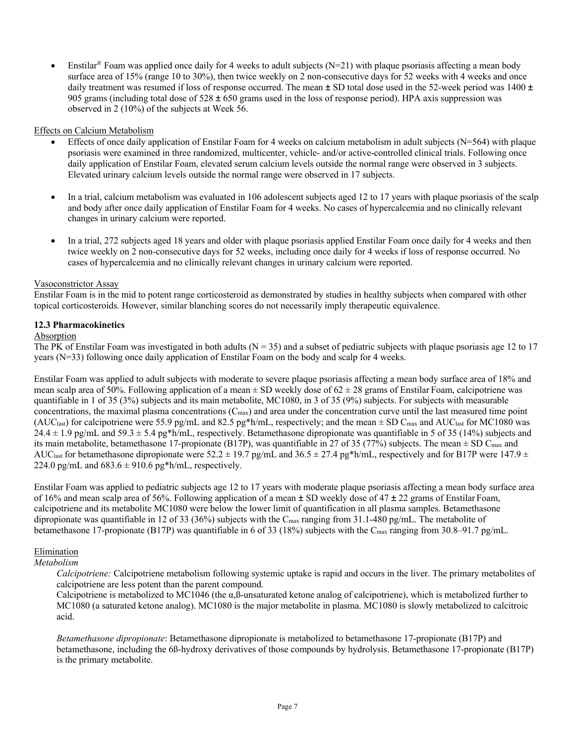<span id="page-6-0"></span>Enstilar<sup>®</sup> Foam was applied once daily for 4 weeks to adult subjects (N=21) with plaque psoriasis affecting a mean body surface area of 15% (range 10 to 30%), then twice weekly on 2 non-consecutive days for 52 weeks with 4 weeks and once daily treatment was resumed if loss of response occurred. The mean  $\pm$  SD total dose used in the 52-week period was 1400  $\pm$ 905 grams (including total dose of  $528 \pm 650$  grams used in the loss of response period). HPA axis suppression was observed in 2 (10%) of the subjects at Week 56.

### Effects on Calcium Metabolism

- Effects of once daily application of Enstilar Foam for 4 weeks on calcium metabolism in adult subjects (N=564) with plaque psoriasis were examined in three randomized, multicenter, vehicle- and/or active-controlled clinical trials. Following once daily application of Enstilar Foam, elevated serum calcium levels outside the normal range were observed in 3 subjects. Elevated urinary calcium levels outside the normal range were observed in 17 subjects.
- In a trial, calcium metabolism was evaluated in 106 adolescent subjects aged 12 to 17 years with plaque psoriasis of the scalp and body after once daily application of Enstilar Foam for 4 weeks. No cases of hypercalcemia and no clinically relevant changes in urinary calcium were reported.
- In a trial, 272 subjects aged 18 years and older with plaque psoriasis applied Enstilar Foam once daily for 4 weeks and then twice weekly on 2 non-consecutive days for 52 weeks, including once daily for 4 weeks if loss of response occurred. No cases of hypercalcemia and no clinically relevant changes in urinary calcium were reported.

#### Vasoconstrictor Assay

Enstilar Foam is in the mid to potent range corticosteroid as demonstrated by studies in healthy subjects when compared with other topical corticosteroids. However, similar blanching scores do not necessarily imply therapeutic equivalence.

### **12.3 Pharmacokinetics**

#### **Absorption**

The PK of Enstilar Foam was investigated in both adults ( $N = 35$ ) and a subset of pediatric subjects with plaque psoriasis age 12 to 17 years (N=33) following once daily application of Enstilar Foam on the body and scalp for 4 weeks.

Enstilar Foam was applied to adult subjects with moderate to severe plaque psoriasis affecting a mean body surface area of 18% and mean scalp area of 50%. Following application of a mean  $\pm$  SD weekly dose of 62  $\pm$  28 grams of Enstilar Foam, calcipotriene was quantifiable in 1 of 35 (3%) subjects and its main metabolite, MC1080, in 3 of 35 (9%) subjects. For subjects with measurable concentrations, the maximal plasma concentrations  $(C_{\text{max}})$  and area under the concentration curve until the last measured time point (AUClast) for calcipotriene were 55.9 pg/mL and 82.5 pg\*h/mL, respectively; and the mean  $\pm$  SD C<sub>max</sub> and AUClast for MC1080 was  $24.4 \pm 1.9$  pg/mL and  $59.3 \pm 5.4$  pg\*h/mL, respectively. Betamethasone dipropionate was quantifiable in 5 of 35 (14%) subjects and its main metabolite, betamethasone 17-propionate (B17P), was quantifiable in 27 of 35 (77%) subjects. The mean  $\pm$  SD C<sub>max</sub> and AUC<sub>last</sub> for betamethasone dipropionate were  $52.2 \pm 19.7$  pg/mL and  $36.5 \pm 27.4$  pg\*h/mL, respectively and for B17P were 147.9  $\pm$ 224.0 pg/mL and  $683.6 \pm 910.6$  pg\*h/mL, respectively.

Enstilar Foam was applied to pediatric subjects age 12 to 17 years with moderate plaque psoriasis affecting a mean body surface area of 16% and mean scalp area of 56%. Following application of a mean  $\pm$  SD weekly dose of 47  $\pm$  22 grams of Enstilar Foam, calcipotriene and its metabolite MC1080 were below the lower limit of quantification in all plasma samples. Betamethasone dipropionate was quantifiable in 12 of 33 (36%) subjects with the  $C_{\text{max}}$  ranging from 31.1-480 pg/mL. The metabolite of betamethasone 17-propionate (B17P) was quantifiable in 6 of 33 (18%) subjects with the  $C_{\text{max}}$  ranging from 30.8–91.7 pg/mL.

### Elimination

### *Metabolism*

*Calcipotriene:* Calcipotriene metabolism following systemic uptake is rapid and occurs in the liver. The primary metabolites of calcipotriene are less potent than the parent compound.

Calcipotriene is metabolized to MC1046 (the  $\alpha$ , $\beta$ -unsaturated ketone analog of calcipotriene), which is metabolized further to MC1080 (a saturated ketone analog). MC1080 is the major metabolite in plasma. MC1080 is slowly metabolized to calcitroic acid.

*Betamethasone dipropionate*: Betamethasone dipropionate is metabolized to betamethasone 17-propionate (B17P) and betamethasone, including the 6ß-hydroxy derivatives of those compounds by hydrolysis. Betamethasone 17-propionate (B17P) is the primary metabolite.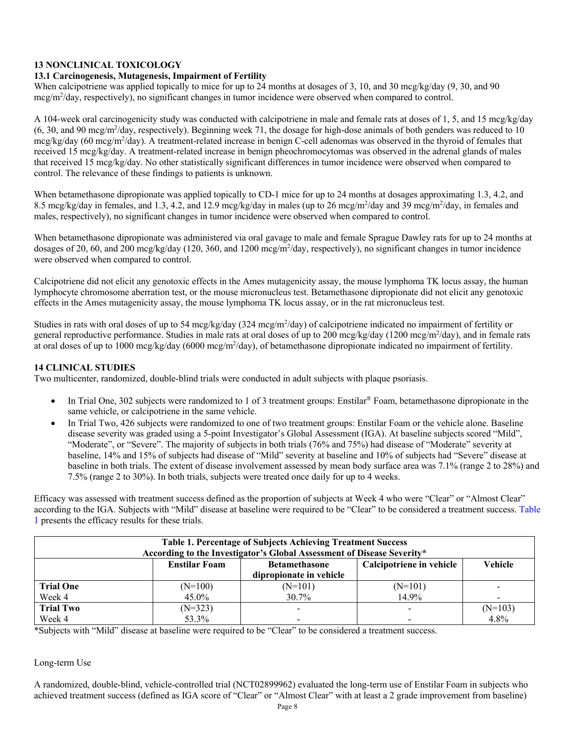# <span id="page-7-0"></span>**13 NONCLINICAL TOXICOLOGY**

### **13.1 Carcinogenesis, Mutagenesis, Impairment of Fertility**

When calcipotriene was applied topically to mice for up to 24 months at dosages of 3, 10, and 30 mcg/kg/day (9, 30, and 90) mcg/m<sup>2</sup>/day, respectively), no significant changes in tumor incidence were observed when compared to control.

A 104-week oral carcinogenicity study was conducted with calcipotriene in male and female rats at doses of 1, 5, and 15 mcg/kg/day (6, 30, and 90 mcg/m<sup>2</sup>/day, respectively). Beginning week 71, the dosage for high-dose animals of both genders was reduced to 10 mcg/kg/day (60 mcg/m<sup>2</sup>/day). A treatment-related increase in benign C-cell adenomas was observed in the thyroid of females that received 15 mcg/kg/day. A treatment-related increase in benign pheochromocytomas was observed in the adrenal glands of males that received 15 mcg/kg/day. No other statistically significant differences in tumor incidence were observed when compared to control. The relevance of these findings to patients is unknown.

When betamethasone dipropionate was applied topically to CD-1 mice for up to 24 months at dosages approximating 1.3, 4.2, and 8.5 mcg/kg/day in females, and 1.3, 4.2, and 12.9 mcg/kg/day in males (up to 26 mcg/m<sup>2</sup>/day and 39 mcg/m<sup>2</sup>/day, in females and males, respectively), no significant changes in tumor incidence were observed when compared to control.

When betamethasone dipropionate was administered via oral gavage to male and female Sprague Dawley rats for up to 24 months at dosages of 20, 60, and 200 mcg/kg/day (120, 360, and 1200 mcg/m<sup>2</sup>/day, respectively), no significant changes in tumor incidence were observed when compared to control.

Calcipotriene did not elicit any genotoxic effects in the Ames mutagenicity assay, the mouse lymphoma TK locus assay, the human lymphocyte chromosome aberration test, or the mouse micronucleus test. Betamethasone dipropionate did not elicit any genotoxic effects in the Ames mutagenicity assay, the mouse lymphoma TK locus assay, or in the rat micronucleus test.

Studies in rats with oral doses of up to 54 mcg/kg/day (324 mcg/m<sup>2</sup>/day) of calcipotriene indicated no impairment of fertility or general reproductive performance. Studies in male rats at oral doses of up to 200 mcg/kg/day (1200 mcg/m<sup>2</sup>/day), and in female rats at oral doses of up to 1000 mcg/kg/day (6000 mcg/m<sup>2</sup>/day), of betamethasone dipropionate indicated no impairment of fertility.

# **14 CLINICAL STUDIES**

Two multicenter, randomized, double-blind trials were conducted in adult subjects with plaque psoriasis.

- In Trial One, 302 subjects were randomized to 1 of 3 treatment groups: Enstilar® Foam, betamethasone dipropionate in the same vehicle, or calcipotriene in the same vehicle.
- In Trial Two, 426 subjects were randomized to one of two treatment groups: Enstilar Foam or the vehicle alone. Baseline disease severity was graded using a 5-point Investigator's Global Assessment (IGA). At baseline subjects scored "Mild", "Moderate", or "Severe". The majority of subjects in both trials (76% and 75%) had disease of "Moderate" severity at baseline, 14% and 15% of subjects had disease of "Mild" severity at baseline and 10% of subjects had "Severe" disease at baseline in both trials. The extent of disease involvement assessed by mean body surface area was 7.1% (range 2 to 28%) and 7.5% (range 2 to 30%). In both trials, subjects were treated once daily for up to 4 weeks.

Efficacy was assessed with treatment success defined as the proportion of subjects at Week 4 who were "Clear" or "Almost Clear" according to the IGA. Subjects with "Mild" disease at baseline were required to be "Clear" to be considered a treatment success. Table 1 presents the efficacy results for these trials.

| <b>Table 1. Percentage of Subjects Achieving Treatment Success</b><br>According to the Investigator's Global Assessment of Disease Severity* |                      |                                                 |                          |           |  |
|----------------------------------------------------------------------------------------------------------------------------------------------|----------------------|-------------------------------------------------|--------------------------|-----------|--|
|                                                                                                                                              | <b>Enstilar Foam</b> | <b>Betamethasone</b><br>dipropionate in vehicle | Calcipotriene in vehicle | Vehicle   |  |
| <b>Trial One</b>                                                                                                                             | $(N=100)$            | $(N=101)$                                       | $(N=101)$                |           |  |
| Week 4                                                                                                                                       | 45.0%                | $30.7\%$                                        | 14.9%                    |           |  |
| <b>Trial Two</b>                                                                                                                             | $(N=323)$            | $\overline{\phantom{0}}$                        |                          | $(N=103)$ |  |
| Week 4                                                                                                                                       | 53.3%                | -                                               |                          | 4.8%      |  |

\*Subjects with "Mild" disease at baseline were required to be "Clear" to be considered a treatment success.

#### Long-term Use

A randomized, double-blind, vehicle-controlled trial (NCT02899962) evaluated the long-term use of Enstilar Foam in subjects who achieved treatment success (defined as IGA score of "Clear" or "Almost Clear" with at least a 2 grade improvement from baseline)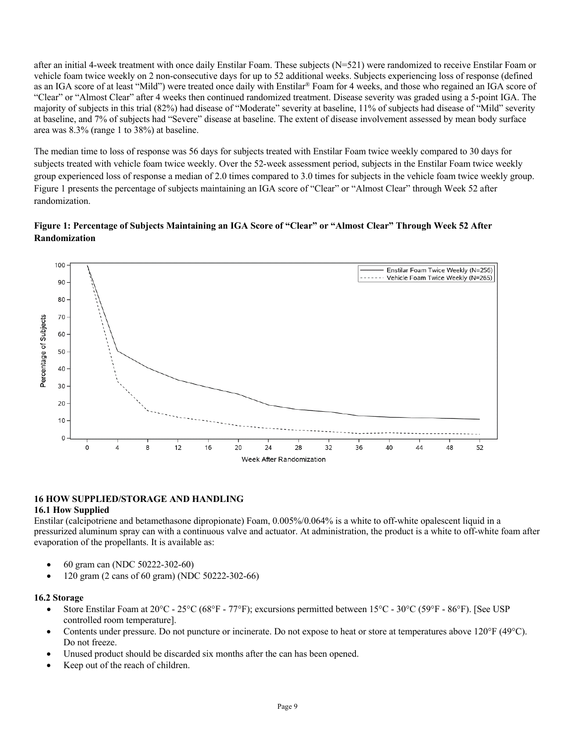<span id="page-8-0"></span>after an initial 4-week treatment with once daily Enstilar Foam. These subjects (N=521) were randomized to receive Enstilar Foam or vehicle foam twice weekly on 2 non-consecutive days for up to 52 additional weeks. Subjects experiencing loss of response (defined as an IGA score of at least "Mild") were treated once daily with Enstilar® Foam for 4 weeks, and those who regained an IGA score of "Clear" or "Almost Clear" after 4 weeks then continued randomized treatment. Disease severity was graded using a 5-point IGA. The majority of subjects in this trial (82%) had disease of "Moderate" severity at baseline, 11% of subjects had disease of "Mild" severity at baseline, and 7% of subjects had "Severe" disease at baseline. The extent of disease involvement assessed by mean body surface area was 8.3% (range 1 to 38%) at baseline.

The median time to loss of response was 56 days for subjects treated with Enstilar Foam twice weekly compared to 30 days for subjects treated with vehicle foam twice weekly. Over the 52-week assessment period, subjects in the Enstilar Foam twice weekly group experienced loss of response a median of 2.0 times compared to 3.0 times for subjects in the vehicle foam twice weekly group. Figure 1 presents the percentage of subjects maintaining an IGA score of "Clear" or "Almost Clear" through Week 52 after randomization.

# **Figure 1: Percentage of Subjects Maintaining an IGA Score of "Clear" or "Almost Clear" Through Week 52 After Randomization**



### **16 HOW SUPPLIED/STORAGE AND HANDLING**

### **16.1 How Supplied**

Enstilar (calcipotriene and betamethasone dipropionate) Foam, 0.005%/0.064% is a white to off-white opalescent liquid in a pressurized aluminum spray can with a continuous valve and actuator. At administration, the product is a white to off-white foam after evaporation of the propellants. It is available as:

- 60 gram can (NDC 50222-302-60)
- 120 gram (2 cans of 60 gram) (NDC 50222-302-66)

### **16.2 Storage**

- Store Enstilar Foam at 20°C 25°C (68°F 77°F); excursions permitted between 15°C 30°C (59°F 86°F). [See USP controlled room temperature].
- Contents under pressure. Do not puncture or incinerate. Do not expose to heat or store at temperatures above 120°F (49°C). Do not freeze.
- Unused product should be discarded six months after the can has been opened.
- Keep out of the reach of children.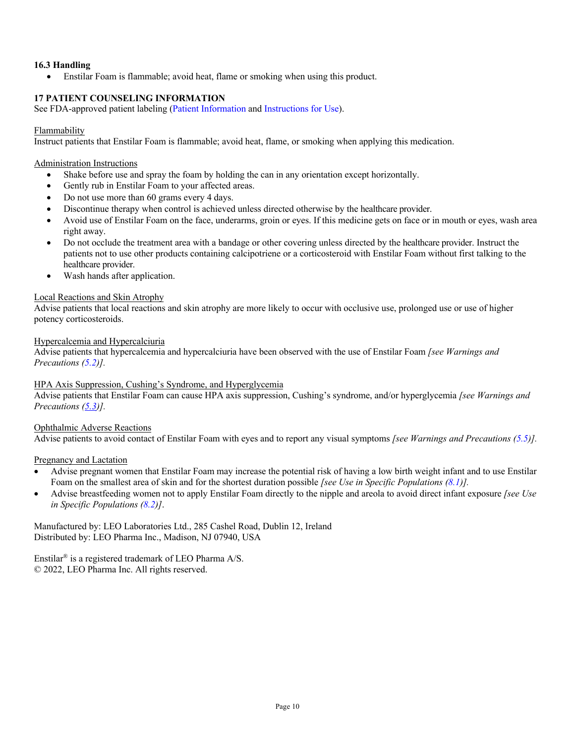# <span id="page-9-0"></span>**16.3 Handling**

• Enstilar Foam is flammable; avoid heat, flame or smoking when using this product.

# **17 PATIENT COUNSELING INFORMATION**

See FDA-approved patient labeling [\(Patient Information](#page-10-0) and [Instructions for Use\)](#page-12-0).

### Flammability

Instruct patients that Enstilar Foam is flammable; avoid heat, flame, or smoking when applying this medication.

### Administration Instructions

- Shake before use and spray the foam by holding the can in any orientation except horizontally.
- Gently rub in Enstilar Foam to your affected areas.
- Do not use more than 60 grams every 4 days.
- Discontinue therapy when control is achieved unless directed otherwise by the healthcare provider.
- Avoid use of Enstilar Foam on the face, underarms, groin or eyes. If this medicine gets on face or in mouth or eyes, wash area right away.
- Do not occlude the treatment area with a bandage or other covering unless directed by the healthcare provider. Instruct the patients not to use other products containing calcipotriene or a corticosteroid with Enstilar Foam without first talking to the healthcare provider.
- Wash hands after application.

### Local Reactions and Skin Atrophy

Advise patients that local reactions and skin atrophy are more likely to occur with occlusive use, prolonged use or use of higher potency corticosteroids.

### Hypercalcemia and Hypercalciuria

Advise patients that hypercalcemia and hypercalciuria have been observed with the use of Enstilar Foam *[see Warnings and Precautions [\(5.2\)](#page-1-0)].* 

### HPA Axis Suppression, Cushing's Syndrome, and Hyperglycemia

Advise patients that Enstilar Foam can cause HPA axis suppression, Cushing's syndrome, and/or hyperglycemia *[see Warnings and Precautions [\(5.3\)](#page-1-0)].*

### Ophthalmic Adverse Reactions

Advise patients to avoid contact of Enstilar Foam with eyes and to report any visual symptoms *[see Warnings and Precautions [\(5.5\)](#page-2-0)].*

### Pregnancy and Lactation

- Advise pregnant women that Enstilar Foam may increase the potential risk of having a low birth weight infant and to use Enstilar Foam on the smallest area of skin and for the shortest duration possible *[see Use in Specific Populations [\(8.1\)](#page-2-0)].*
- Advise breastfeeding women not to apply Enstilar Foam directly to the nipple and areola to avoid direct infant exposure *[see Use in Specific Populations ([8.2](#page-4-0))]*.

Manufactured by: LEO Laboratories Ltd., 285 Cashel Road, Dublin 12, Ireland Distributed by: LEO Pharma Inc., Madison, NJ 07940, USA

Enstilar® is a registered trademark of LEO Pharma A/S. © 2022, LEO Pharma Inc. All rights reserved.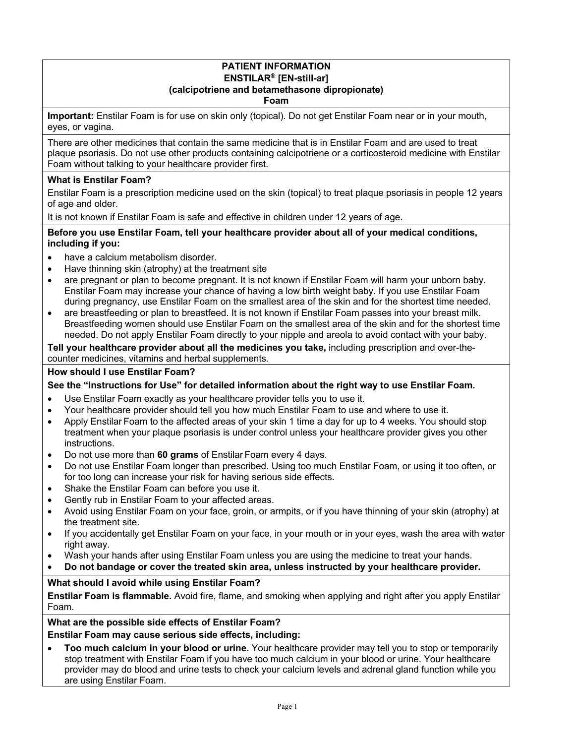# **PATIENT INFORMATION ENSTILAR® [EN-still-ar] (calcipotriene and betamethasone dipropionate)**

#### **Foam**

<span id="page-10-0"></span>**Important:** Enstilar Foam is for use on skin only (topical). Do not get Enstilar Foam near or in your mouth, eyes, or vagina.

There are other medicines that contain the same medicine that is in Enstilar Foam and are used to treat plaque psoriasis. Do not use other products containing calcipotriene or a corticosteroid medicine with Enstilar Foam without talking to your healthcare provider first.

### **What is Enstilar Foam?**

Enstilar Foam is a prescription medicine used on the skin (topical) to treat plaque psoriasis in people 12 years of age and older.

It is not known if Enstilar Foam is safe and effective in children under 12 years of age.

### **Before you use Enstilar Foam, tell your healthcare provider about all of your medical conditions, including if you:**

- have a calcium metabolism disorder.
- Have thinning skin (atrophy) at the treatment site
- are pregnant or plan to become pregnant. It is not known if Enstilar Foam will harm your unborn baby. Enstilar Foam may increase your chance of having a low birth weight baby. If you use Enstilar Foam during pregnancy, use Enstilar Foam on the smallest area of the skin and for the shortest time needed.
- are breastfeeding or plan to breastfeed. It is not known if Enstilar Foam passes into your breast milk. Breastfeeding women should use Enstilar Foam on the smallest area of the skin and for the shortest time needed. Do not apply Enstilar Foam directly to your nipple and areola to avoid contact with your baby.

**Tell your healthcare provider about all the medicines you take,** including prescription and over-thecounter medicines, vitamins and herbal supplements.

# **How should I use Enstilar Foam?**

# **See the "Instructions for Use" for detailed information about the right way to use Enstilar Foam.**

- Use Enstilar Foam exactly as your healthcare provider tells you to use it.
- Your healthcare provider should tell you how much Enstilar Foam to use and where to use it.
- Apply Enstilar Foam to the affected areas of your skin 1 time a day for up to 4 weeks. You should stop treatment when your plaque psoriasis is under control unless your healthcare provider gives you other instructions.
- Do not use more than **60 grams** of Enstilar Foam every 4 days.
- Do not use Enstilar Foam longer than prescribed. Using too much Enstilar Foam, or using it too often, or for too long can increase your risk for having serious side effects.
- Shake the Enstilar Foam can before you use it.
- Gently rub in Enstilar Foam to your affected areas.
- Avoid using Enstilar Foam on your face, groin, or armpits, or if you have thinning of your skin (atrophy) at the treatment site.
- If you accidentally get Enstilar Foam on your face, in your mouth or in your eyes, wash the area with water right away.
- Wash your hands after using Enstilar Foam unless you are using the medicine to treat your hands.
- **Do not bandage or cover the treated skin area, unless instructed by your healthcare provider.**

### **What should I avoid while using Enstilar Foam?**

**Enstilar Foam is flammable.** Avoid fire, flame, and smoking when applying and right after you apply Enstilar Foam.

### **What are the possible side effects of Enstilar Foam?**

### **Enstilar Foam may cause serious side effects, including:**

• **Too much calcium in your blood or urine.** Your healthcare provider may tell you to stop or temporarily stop treatment with Enstilar Foam if you have too much calcium in your blood or urine. Your healthcare provider may do blood and urine tests to check your calcium levels and adrenal gland function while you are using Enstilar Foam.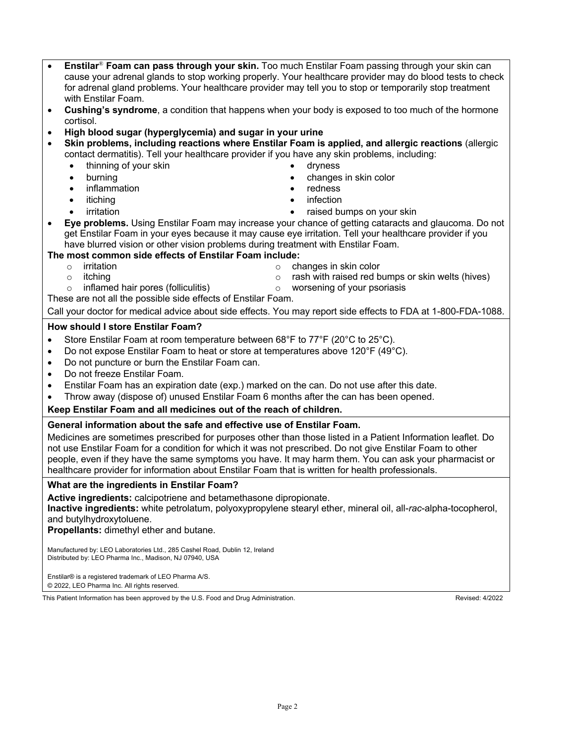|                                                                                                                                            | Enstilar <sup>®</sup> Foam can pass through your skin. Too much Enstilar Foam passing through your skin can<br>$\bullet$                                                                                         |  |  |  |  |  |
|--------------------------------------------------------------------------------------------------------------------------------------------|------------------------------------------------------------------------------------------------------------------------------------------------------------------------------------------------------------------|--|--|--|--|--|
|                                                                                                                                            | cause your adrenal glands to stop working properly. Your healthcare provider may do blood tests to check                                                                                                         |  |  |  |  |  |
|                                                                                                                                            | for adrenal gland problems. Your healthcare provider may tell you to stop or temporarily stop treatment                                                                                                          |  |  |  |  |  |
| $\bullet$                                                                                                                                  | with Enstilar Foam.                                                                                                                                                                                              |  |  |  |  |  |
|                                                                                                                                            | Cushing's syndrome, a condition that happens when your body is exposed to too much of the hormone<br>cortisol.                                                                                                   |  |  |  |  |  |
|                                                                                                                                            | High blood sugar (hyperglycemia) and sugar in your urine<br>$\bullet$                                                                                                                                            |  |  |  |  |  |
|                                                                                                                                            | Skin problems, including reactions where Enstilar Foam is applied, and allergic reactions (allergic                                                                                                              |  |  |  |  |  |
|                                                                                                                                            | contact dermatitis). Tell your healthcare provider if you have any skin problems, including:                                                                                                                     |  |  |  |  |  |
|                                                                                                                                            | thinning of your skin<br>dryness                                                                                                                                                                                 |  |  |  |  |  |
|                                                                                                                                            | burning<br>changes in skin color<br>$\bullet$                                                                                                                                                                    |  |  |  |  |  |
|                                                                                                                                            | inflammation<br>redness<br>$\bullet$                                                                                                                                                                             |  |  |  |  |  |
|                                                                                                                                            | infection<br>itiching<br>$\bullet$                                                                                                                                                                               |  |  |  |  |  |
|                                                                                                                                            | raised bumps on your skin<br>irritation<br>$\bullet$<br>٠                                                                                                                                                        |  |  |  |  |  |
|                                                                                                                                            | Eye problems. Using Enstilar Foam may increase your chance of getting cataracts and glaucoma. Do not<br>get Enstilar Foam in your eyes because it may cause eye irritation. Tell your healthcare provider if you |  |  |  |  |  |
|                                                                                                                                            | have blurred vision or other vision problems during treatment with Enstilar Foam.                                                                                                                                |  |  |  |  |  |
| The most common side effects of Enstilar Foam include:                                                                                     |                                                                                                                                                                                                                  |  |  |  |  |  |
|                                                                                                                                            | irritation<br>changes in skin color<br>$\circ$<br>$\circ$                                                                                                                                                        |  |  |  |  |  |
|                                                                                                                                            | rash with raised red bumps or skin welts (hives)<br>itching<br>$\circ$<br>$\circ$                                                                                                                                |  |  |  |  |  |
|                                                                                                                                            | inflamed hair pores (folliculitis)<br>worsening of your psoriasis<br>$\circ$<br>$\circ$                                                                                                                          |  |  |  |  |  |
|                                                                                                                                            | These are not all the possible side effects of Enstilar Foam.                                                                                                                                                    |  |  |  |  |  |
|                                                                                                                                            | Call your doctor for medical advice about side effects. You may report side effects to FDA at 1-800-FDA-1088.                                                                                                    |  |  |  |  |  |
| <b>How should I store Enstilar Foam?</b>                                                                                                   |                                                                                                                                                                                                                  |  |  |  |  |  |
|                                                                                                                                            | Store Enstilar Foam at room temperature between 68°F to 77°F (20°C to 25°C).<br>$\bullet$                                                                                                                        |  |  |  |  |  |
|                                                                                                                                            | Do not expose Enstilar Foam to heat or store at temperatures above 120°F (49°C).<br>٠                                                                                                                            |  |  |  |  |  |
|                                                                                                                                            | Do not puncture or burn the Enstilar Foam can.<br>٠                                                                                                                                                              |  |  |  |  |  |
|                                                                                                                                            | Do not freeze Enstilar Foam.<br>$\bullet$                                                                                                                                                                        |  |  |  |  |  |
|                                                                                                                                            | Enstilar Foam has an expiration date (exp.) marked on the can. Do not use after this date.<br>$\bullet$                                                                                                          |  |  |  |  |  |
|                                                                                                                                            | Throw away (dispose of) unused Enstilar Foam 6 months after the can has been opened.<br>$\bullet$                                                                                                                |  |  |  |  |  |
|                                                                                                                                            | Keep Enstilar Foam and all medicines out of the reach of children.                                                                                                                                               |  |  |  |  |  |
|                                                                                                                                            | General information about the safe and effective use of Enstilar Foam.                                                                                                                                           |  |  |  |  |  |
|                                                                                                                                            | Medicines are sometimes prescribed for purposes other than those listed in a Patient Information leaflet. Do                                                                                                     |  |  |  |  |  |
|                                                                                                                                            | not use Enstilar Foam for a condition for which it was not prescribed. Do not give Enstilar Foam to other                                                                                                        |  |  |  |  |  |
|                                                                                                                                            | people, even if they have the same symptoms you have. It may harm them. You can ask your pharmacist or                                                                                                           |  |  |  |  |  |
|                                                                                                                                            | healthcare provider for information about Enstilar Foam that is written for health professionals.                                                                                                                |  |  |  |  |  |
| What are the ingredients in Enstilar Foam?                                                                                                 |                                                                                                                                                                                                                  |  |  |  |  |  |
| Active ingredients: calcipotriene and betamethasone dipropionate.                                                                          |                                                                                                                                                                                                                  |  |  |  |  |  |
| Inactive ingredients: white petrolatum, polyoxypropylene stearyl ether, mineral oil, all-rac-alpha-tocopherol,<br>and butylhydroxytoluene. |                                                                                                                                                                                                                  |  |  |  |  |  |
| Propellants: dimethyl ether and butane.                                                                                                    |                                                                                                                                                                                                                  |  |  |  |  |  |
|                                                                                                                                            |                                                                                                                                                                                                                  |  |  |  |  |  |
| Manufactured by: LEO Laboratories Ltd., 285 Cashel Road, Dublin 12, Ireland<br>Distributed by: LEO Pharma Inc., Madison, NJ 07940, USA     |                                                                                                                                                                                                                  |  |  |  |  |  |
|                                                                                                                                            |                                                                                                                                                                                                                  |  |  |  |  |  |
|                                                                                                                                            |                                                                                                                                                                                                                  |  |  |  |  |  |

Enstilar® is a registered trademark of LEO Pharma A/S. © 2022, LEO Pharma Inc. All rights reserved.

This Patient Information has been approved by the U.S. Food and Drug Administration. This Patient Information has been approved by the U.S. Food and Drug Administration.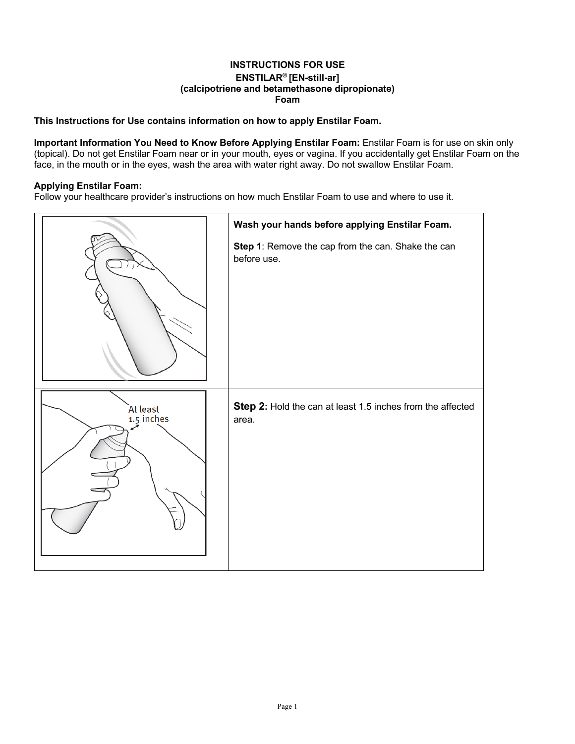# **INSTRUCTIONS FOR USE ENSTILAR® [EN-still-ar] (calcipotriene and betamethasone dipropionate) Foam**

## <span id="page-12-0"></span>**This Instructions for Use contains information on how to apply Enstilar Foam.**

**Important Information You Need to Know Before Applying Enstilar Foam:** Enstilar Foam is for use on skin only (topical). Do not get Enstilar Foam near or in your mouth, eyes or vagina. If you accidentally get Enstilar Foam on the face, in the mouth or in the eyes, wash the area with water right away. Do not swallow Enstilar Foam.

# **Applying Enstilar Foam:**

Follow your healthcare provider's instructions on how much Enstilar Foam to use and where to use it.

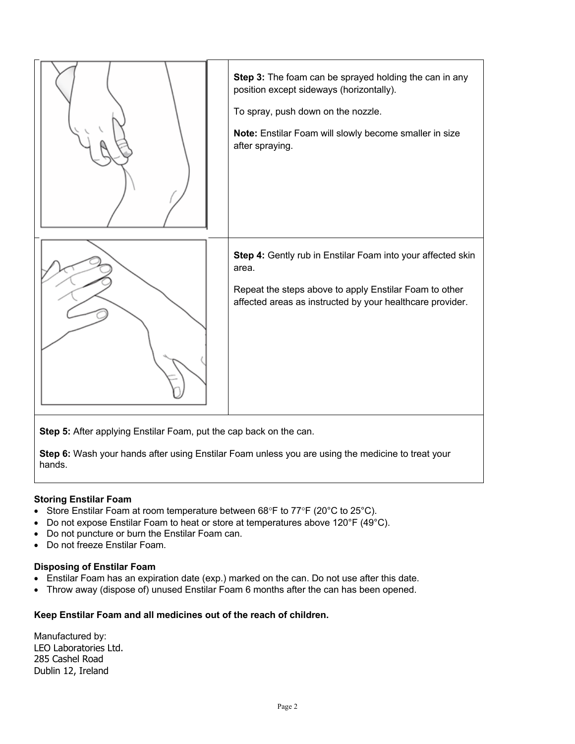

**Step 6:** Wash your hands after using Enstilar Foam unless you are using the medicine to treat your hands.

# **Storing Enstilar Foam**

- Store Enstilar Foam at room temperature between 68°F to 77°F (20°C to 25°C).
- Do not expose Enstilar Foam to heat or store at temperatures above 120°F (49°C).
- Do not puncture or burn the Enstilar Foam can.
- Do not freeze Enstilar Foam.

### **Disposing of Enstilar Foam**

- Enstilar Foam has an expiration date (exp.) marked on the can. Do not use after this date.
- Throw away (dispose of) unused Enstilar Foam 6 months after the can has been opened.

### **Keep Enstilar Foam and all medicines out of the reach of children.**

Manufactured by: LEO Laboratories Ltd. 285 Cashel Road Dublin 12, Ireland